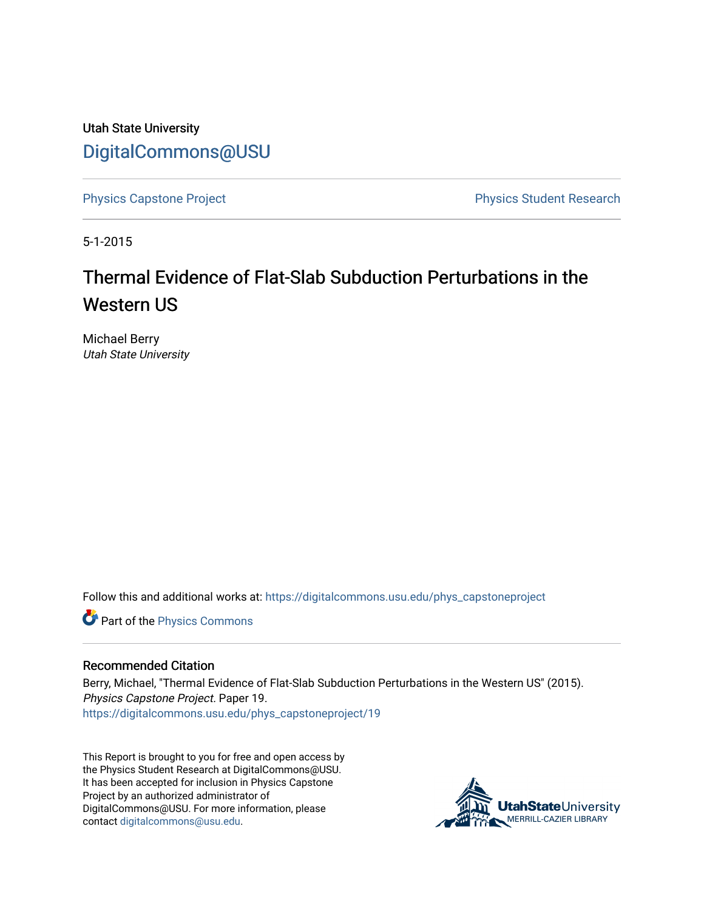Utah State University [DigitalCommons@USU](https://digitalcommons.usu.edu/)

[Physics Capstone Project](https://digitalcommons.usu.edu/phys_capstoneproject) **Physics Capstone Project** Physics Student Research

5-1-2015

# Thermal Evidence of Flat-Slab Subduction Perturbations in the Western US

Michael Berry Utah State University

Follow this and additional works at: [https://digitalcommons.usu.edu/phys\\_capstoneproject](https://digitalcommons.usu.edu/phys_capstoneproject?utm_source=digitalcommons.usu.edu%2Fphys_capstoneproject%2F19&utm_medium=PDF&utm_campaign=PDFCoverPages) 

Part of the [Physics Commons](http://network.bepress.com/hgg/discipline/193?utm_source=digitalcommons.usu.edu%2Fphys_capstoneproject%2F19&utm_medium=PDF&utm_campaign=PDFCoverPages)

#### Recommended Citation

Berry, Michael, "Thermal Evidence of Flat-Slab Subduction Perturbations in the Western US" (2015). Physics Capstone Project. Paper 19. [https://digitalcommons.usu.edu/phys\\_capstoneproject/19](https://digitalcommons.usu.edu/phys_capstoneproject/19?utm_source=digitalcommons.usu.edu%2Fphys_capstoneproject%2F19&utm_medium=PDF&utm_campaign=PDFCoverPages)

This Report is brought to you for free and open access by the Physics Student Research at DigitalCommons@USU. It has been accepted for inclusion in Physics Capstone Project by an authorized administrator of DigitalCommons@USU. For more information, please contact [digitalcommons@usu.edu](mailto:digitalcommons@usu.edu).

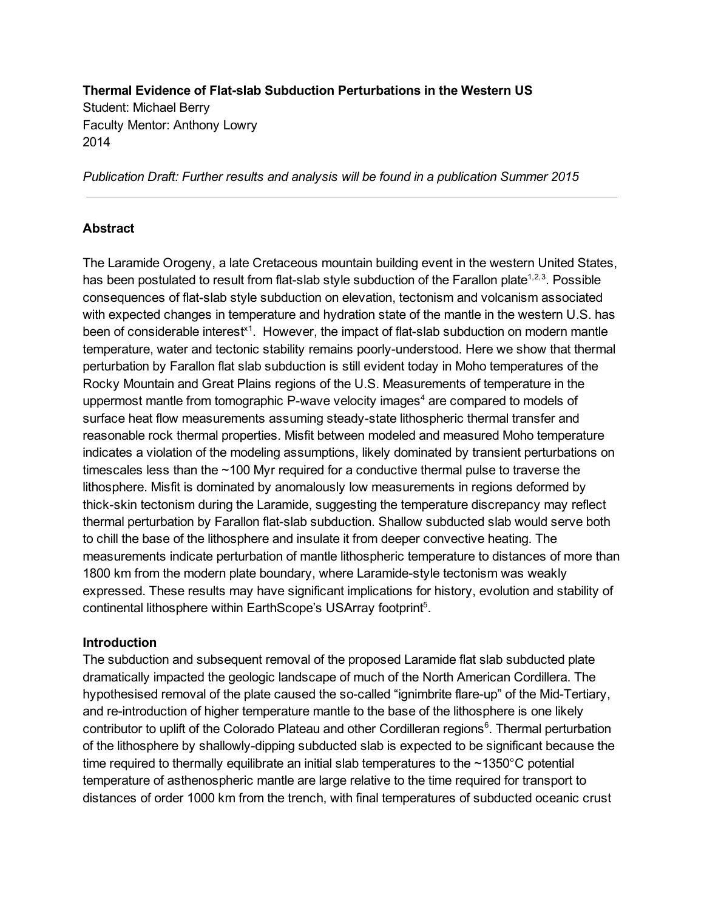**Thermal Evidence of Flatslab Subduction Perturbations in the Western US** Student: Michael Berry Faculty Mentor: Anthony Lowry 2014

*Publication Draft: Further results and analysis will be found in a publication Summer 2015*

### **Abstract**

The Laramide Orogeny, a late Cretaceous mountain building event in the western United States, has been postulated to result from flat-slab style subduction of the Farallon plate<sup>1,2,3</sup>. Possible consequences of flat-slab style subduction on elevation, tectonism and volcanism associated with expected changes in temperature and hydration state of the mantle in the western U.S. has been of considerable interest<sup>x1</sup>. However, the impact of flat-slab subduction on modern mantle temperature, water and tectonic stability remains poorly-understood. Here we show that thermal perturbation by Farallon flat slab subduction is still evident today in Moho temperatures of the Rocky Mountain and Great Plains regions of the U.S. Measurements of temperature in the uppermost mantle from tomographic P-wave velocity images<sup>4</sup> are compared to models of surface heat flow measurements assuming steady-state lithospheric thermal transfer and reasonable rock thermal properties. Misfit between modeled and measured Moho temperature indicates a violation of the modeling assumptions, likely dominated by transient perturbations on timescales less than the ~100 Myr required for a conductive thermal pulse to traverse the lithosphere. Misfit is dominated by anomalously low measurements in regions deformed by thick-skin tectonism during the Laramide, suggesting the temperature discrepancy may reflect thermal perturbation by Farallon flat-slab subduction. Shallow subducted slab would serve both to chill the base of the lithosphere and insulate it from deeper convective heating. The measurements indicate perturbation of mantle lithospheric temperature to distances of more than 1800 km from the modern plate boundary, where Laramide-style tectonism was weakly expressed. These results may have significant implications for history, evolution and stability of continental lithosphere within EarthScope's USArray footprint<sup>5</sup>.

#### **Introduction**

The subduction and subsequent removal of the proposed Laramide flat slab subducted plate dramatically impacted the geologic landscape of much of the North American Cordillera. The hypothesised removal of the plate caused the so-called "ignimbrite flare-up" of the Mid-Tertiary, and re-introduction of higher temperature mantle to the base of the lithosphere is one likely contributor to uplift of the Colorado Plateau and other Cordilleran regions<sup>6</sup>. Thermal perturbation of the lithosphere by shallowly-dipping subducted slab is expected to be significant because the time required to thermally equilibrate an initial slab temperatures to the  $\sim$ 1350 $^{\circ}$ C potential temperature of asthenospheric mantle are large relative to the time required for transport to distances of order 1000 km from the trench, with final temperatures of subducted oceanic crust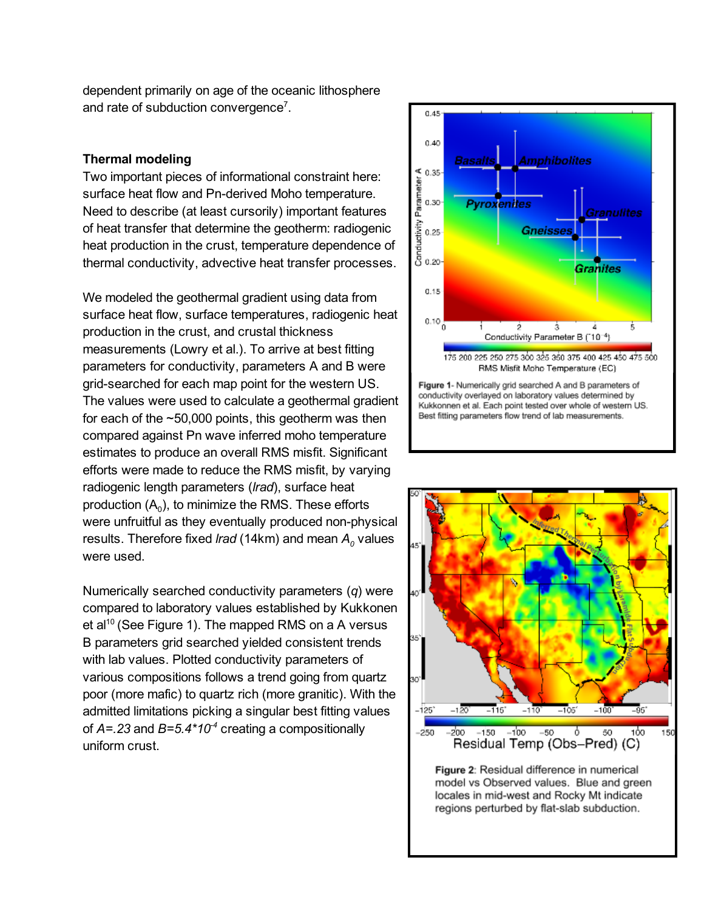dependent primarily on age of the oceanic lithosphere and rate of subduction convergence<sup>7</sup>.

## **Thermal modeling**

Two important pieces of informational constraint here: surface heat flow and Pn-derived Moho temperature. Need to describe (at least cursorily) important features of heat transfer that determine the geotherm: radiogenic heat production in the crust, temperature dependence of thermal conductivity, advective heat transfer processes.

We modeled the geothermal gradient using data from surface heat flow, surface temperatures, radiogenic heat production in the crust, and crustal thickness measurements (Lowry et al.). To arrive at best fitting parameters for conductivity, parameters A and B were grid-searched for each map point for the western US. The values were used to calculate a geothermal gradient for each of the  $\sim$  50,000 points, this geotherm was then compared against Pn wave inferred moho temperature estimates to produce an overall RMS misfit. Significant efforts were made to reduce the RMS misfit, by varying radiogenic length parameters (*lrad*), surface heat production  $(A_0)$ , to minimize the RMS. These efforts were unfruitful as they eventually produced non-physical results. Therefore fixed *lrad* (14km) and mean  $A_0$  values were used.

Numerically searched conductivity parameters (*q*) were compared to laboratory values established by Kukkonen et al<sup>10</sup> (See Figure 1). The mapped RMS on a A versus B parameters grid searched yielded consistent trends with lab values. Plotted conductivity parameters of various compositions follows a trend going from quartz poor (more mafic) to quartz rich (more granitic). With the admitted limitations picking a singular best fitting values of  $A = 23$  and  $B = 5.4 \times 10^{-4}$  creating a compositionally uniform crust.